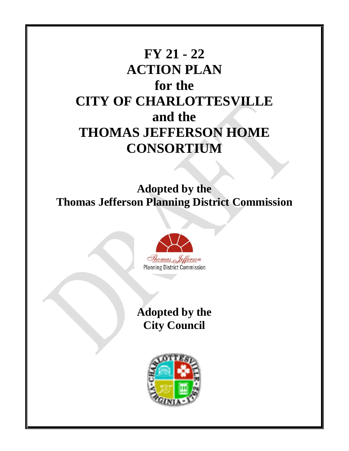# **FY 21 - 22 ACTION PLAN for the CITY OF CHARLOTTESVILLE and the THOMAS JEFFERSON HOME CONSORTIUM**

**Adopted by the Thomas Jefferson Planning District Commission**



# **Adopted by the City Council**

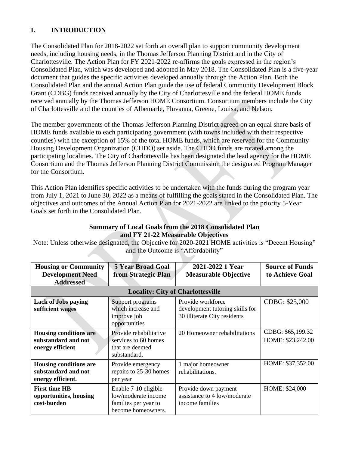# **I. INTRODUCTION**

The Consolidated Plan for 2018-2022 set forth an overall plan to support community development needs, including housing needs, in the Thomas Jefferson Planning District and in the City of Charlottesville. The Action Plan for FY 2021-2022 re-affirms the goals expressed in the region's Consolidated Plan, which was developed and adopted in May 2018. The Consolidated Plan is a five-year document that guides the specific activities developed annually through the Action Plan. Both the Consolidated Plan and the annual Action Plan guide the use of federal Community Development Block Grant (CDBG) funds received annually by the City of Charlottesville and the federal HOME funds received annually by the Thomas Jefferson HOME Consortium. Consortium members include the City of Charlottesville and the counties of Albemarle, Fluvanna, Greene, Louisa, and Nelson.

The member governments of the Thomas Jefferson Planning District agreed on an equal share basis of HOME funds available to each participating government (with towns included with their respective counties) with the exception of 15% of the total HOME funds, which are reserved for the Community Housing Development Organization (CHDO) set aside. The CHDO funds are rotated among the participating localities. The City of Charlottesville has been designated the lead agency for the HOME Consortium and the Thomas Jefferson Planning District Commission the designated Program Manager for the Consortium.

This Action Plan identifies specific activities to be undertaken with the funds during the program year from July 1, 2021 to June 30, 2022 as a means of fulfilling the goals stated in the Consolidated Plan. The objectives and outcomes of the Annual Action Plan for 2021-2022 are linked to the priority 5-Year Goals set forth in the Consolidated Plan.

#### **Summary of Local Goals from the 2018 Consolidated Plan and FY 21-22 Measurable Objectives**

Note: Unless otherwise designated, the Objective for 2020-2021 HOME activities is "Decent Housing" and the Outcome is "Affordability"

| <b>Housing or Community</b><br><b>Development Need</b><br><b>Addressed</b> | <b>5 Year Broad Goal</b><br>from Strategic Plan                                           | 2021-2022 1 Year<br><b>Measurable Objective</b>                                      | <b>Source of Funds</b><br>to Achieve Goal |  |  |
|----------------------------------------------------------------------------|-------------------------------------------------------------------------------------------|--------------------------------------------------------------------------------------|-------------------------------------------|--|--|
|                                                                            | <b>Locality: City of Charlottesville</b>                                                  |                                                                                      |                                           |  |  |
| <b>Lack of Jobs paying</b><br>sufficient wages                             | Support programs<br>which increase and<br>improve job<br>opportunities                    | Provide workforce<br>development tutoring skills for<br>30 illiterate City residents | CDBG: \$25,000                            |  |  |
| <b>Housing conditions are</b><br>substandard and not<br>energy efficient   | Provide rehabilitative<br>services to 60 homes<br>that are deemed<br>substandard.         | 20 Homeowner rehabilitations                                                         | CDBG: \$65,199.32<br>HOME: \$23,242.00    |  |  |
| <b>Housing conditions are</b><br>substandard and not<br>energy efficient.  | Provide emergency<br>repairs to 25-30 homes<br>per year                                   | 1 major homeowner<br>rehabilitations.                                                | HOME: \$37,352.00                         |  |  |
| <b>First time HB</b><br>opportunities, housing<br>cost-burden              | Enable 7-10 eligible<br>low/moderate income<br>families per year to<br>become homeowners. | Provide down payment<br>assistance to 4 low/moderate<br>income families              | HOME: \$24,000                            |  |  |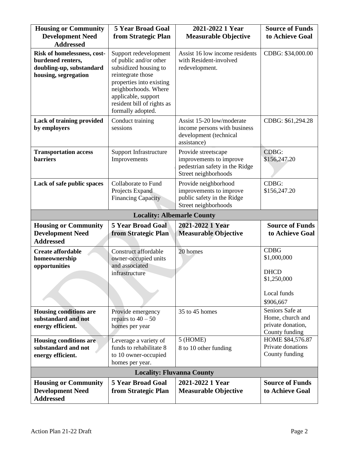| <b>Housing or Community</b><br><b>Development Need</b><br><b>Addressed</b>                           | <b>5 Year Broad Goal</b><br>from Strategic Plan                                                                                                                                                                             | 2021-2022 1 Year<br><b>Measurable Objective</b>                                                          | <b>Source of Funds</b><br>to Achieve Goal                                            |
|------------------------------------------------------------------------------------------------------|-----------------------------------------------------------------------------------------------------------------------------------------------------------------------------------------------------------------------------|----------------------------------------------------------------------------------------------------------|--------------------------------------------------------------------------------------|
| Risk of homelessness, cost-<br>burdened renters,<br>doubling-up, substandard<br>housing, segregation | Support redevelopment<br>of public and/or other<br>subsidized housing to<br>reintegrate those<br>properties into existing<br>neighborhoods. Where<br>applicable, support<br>resident bill of rights as<br>formally adopted. | Assist 16 low income residents<br>with Resident-involved<br>redevelopment.                               | CDBG: \$34,000.00                                                                    |
| Lack of training provided<br>by employers                                                            | Conduct training<br>sessions                                                                                                                                                                                                | Assist 15-20 low/moderate<br>income persons with business<br>development (technical<br>assistance)       | CDBG: \$61,294.28                                                                    |
| <b>Transportation access</b><br><b>barriers</b>                                                      | <b>Support Infrastructure</b><br>Improvements                                                                                                                                                                               | Provide streetscape<br>improvements to improve<br>pedestrian safety in the Ridge<br>Street neighborhoods | CDBG:<br>\$156,247.20                                                                |
| Lack of safe public spaces                                                                           | Collaborate to Fund<br>Projects Expand<br><b>Financing Capacity</b>                                                                                                                                                         | Provide neighborhood<br>improvements to improve<br>public safety in the Ridge<br>Street neighborhoods    | CDBG:<br>\$156,247.20                                                                |
|                                                                                                      | <b>Locality: Albemarle County</b>                                                                                                                                                                                           |                                                                                                          |                                                                                      |
| <b>Housing or Community</b><br><b>Development Need</b><br><b>Addressed</b>                           | <b>5 Year Broad Goal</b><br>from Strategic Plan                                                                                                                                                                             | 2021-2022 1 Year<br><b>Measurable Objective</b>                                                          | <b>Source of Funds</b><br>to Achieve Goal                                            |
| <b>Create affordable</b><br>homeownership<br>opportunities                                           | Construct affordable<br>owner-occupied units<br>and associated<br>infrastructure                                                                                                                                            | 20 homes                                                                                                 | <b>CDBG</b><br>\$1,000,000<br><b>DHCD</b><br>\$1,250,000<br>Local funds<br>\$906,667 |
| <b>Housing conditions are</b><br>substandard and not<br>energy efficient.                            | Provide emergency<br>repairs to $40 - 50$<br>homes per year                                                                                                                                                                 | 35 to 45 homes                                                                                           | Seniors Safe at<br>Home, church and<br>private donation,<br>County funding           |
| <b>Housing conditions are</b><br>substandard and not<br>energy efficient.                            | Leverage a variety of<br>funds to rehabilitate 8<br>to 10 owner-occupied<br>homes per year.                                                                                                                                 | 5 (HOME)<br>8 to 10 other funding                                                                        | HOME \$84,576.87<br>Private donations<br>County funding                              |
|                                                                                                      | <b>Locality: Fluvanna County</b>                                                                                                                                                                                            |                                                                                                          |                                                                                      |
| <b>Housing or Community</b><br><b>Development Need</b><br><b>Addressed</b>                           | <b>5 Year Broad Goal</b><br>from Strategic Plan                                                                                                                                                                             | 2021-2022 1 Year<br><b>Measurable Objective</b>                                                          | <b>Source of Funds</b><br>to Achieve Goal                                            |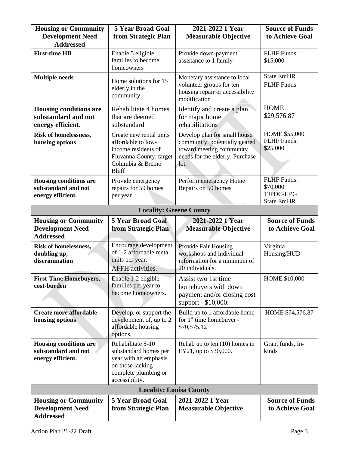| <b>Housing or Community</b>                                                                                                        | <b>5 Year Broad Goal</b><br>2021-2022 1 Year<br><b>Development Need</b><br>from Strategic Plan<br><b>Measurable Objective</b>                                                                                 |                                                                                                                                      | <b>Source of Funds</b><br>to Achieve Goal                        |
|------------------------------------------------------------------------------------------------------------------------------------|---------------------------------------------------------------------------------------------------------------------------------------------------------------------------------------------------------------|--------------------------------------------------------------------------------------------------------------------------------------|------------------------------------------------------------------|
| <b>Addressed</b>                                                                                                                   |                                                                                                                                                                                                               |                                                                                                                                      |                                                                  |
| <b>First-time HB</b>                                                                                                               | Enable 5 eligible<br>families to become<br>homeowners                                                                                                                                                         | Provide down-payment<br>assistance to 1 family                                                                                       | <b>FLHF</b> Funds:<br>\$15,000                                   |
| <b>Multiple needs</b><br>Home solutions for 15<br>elderly in the<br>community                                                      |                                                                                                                                                                                                               | Monetary assistance to local<br>volunteer groups for ten<br>housing repair or accessibility<br>modification                          | <b>State EmHR</b><br><b>FLHF</b> Funds                           |
| <b>Housing conditions are</b><br>substandard and not<br>energy efficient.                                                          | Rehabilitate 4 homes<br>that are deemed<br>substandard                                                                                                                                                        | Identify and create a plan<br>for major home<br>rehabilitations                                                                      | <b>HOME</b><br>\$29,576.87                                       |
| Risk of homelessness,<br>housing options                                                                                           | Create new rental units<br>affordable to low-<br>income residents of<br>Fluvanna County, target<br>Columbia & Bremo<br><b>Bluff</b>                                                                           | Develop plan for small house<br>community, potentially geared<br>toward meeting community<br>needs for the elderly. Purchase<br>lot. | HOME \$55,000<br><b>FLHF Funds:</b><br>\$25,000                  |
| <b>Housing conditions are</b><br>Provide emergency<br>substandard and not<br>repairs for 50 homes<br>energy efficient.<br>per year |                                                                                                                                                                                                               | Perform emergency Home<br>Repairs on 50 homes                                                                                        | <b>FLHF</b> Funds:<br>\$70,000<br>TJPDC-HPG<br><b>State EmHR</b> |
|                                                                                                                                    | <b>Locality: Greene County</b>                                                                                                                                                                                |                                                                                                                                      |                                                                  |
| <b>Housing or Community</b><br><b>Development Need</b><br><b>Addressed</b>                                                         | <b>5 Year Broad Goal</b><br>from Strategic Plan                                                                                                                                                               | 2021-2022 1 Year<br><b>Measurable Objective</b>                                                                                      | <b>Source of Funds</b><br>to Achieve Goal                        |
| Risk of homelessness,<br>doubling up,<br>discrimination                                                                            | <b>Encourage development</b><br>Provide Fair Housing<br>of 1-2 affordable rental<br>workshops and individual<br>units per year.<br>information for a minimum of<br>20 individuals.<br><b>AFFH</b> activities. |                                                                                                                                      | Virginia<br>Housing/HUD                                          |
| <b>First-Time Homebuyers,</b><br>cost-burden                                                                                       | Enable 1-2 eligible<br>Assist two 1st time<br>families per year to<br>homebuyers with down<br>become homeowners.<br>payment and/or closing cost<br>support - \$10,000.                                        |                                                                                                                                      | HOME \$10,000                                                    |
| <b>Create more affordable</b><br>housing options                                                                                   | Develop, or support the<br>Build up to 1 affordable home<br>for 1 <sup>st</sup> time homebuyer -<br>development of, up to 2<br>affordable housing<br>\$70,575.12<br>options.                                  |                                                                                                                                      | HOME \$74,576.87                                                 |
| <b>Housing conditions are</b><br>substandard and not<br>energy efficient.                                                          | Rehabilitate 5-10<br>Rehab up to ten $(10)$ homes in<br>FY21, up to \$30,000.<br>substandard homes per<br>year with an emphasis<br>on those lacking<br>complete plumbing or<br>accessibility.                 |                                                                                                                                      | Grant funds, In-<br>kinds                                        |
|                                                                                                                                    | <b>Locality: Louisa County</b>                                                                                                                                                                                |                                                                                                                                      |                                                                  |
| <b>Housing or Community</b><br><b>Development Need</b><br><b>Addressed</b>                                                         | <b>5 Year Broad Goal</b><br>from Strategic Plan                                                                                                                                                               | 2021-2022 1 Year<br><b>Measurable Objective</b>                                                                                      | <b>Source of Funds</b><br>to Achieve Goal                        |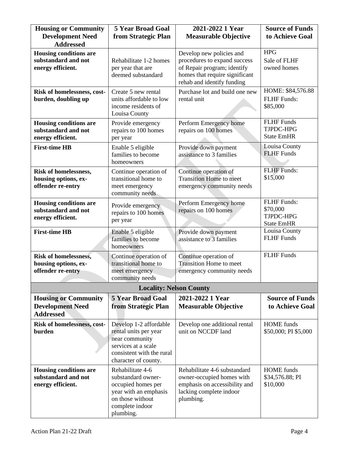| <b>Housing or Community</b><br><b>Development Need</b>                     | <b>5 Year Broad Goal</b><br>from Strategic Plan                                                                                               | 2021-2022 1 Year<br><b>Measurable Objective</b>                                                                                                         | <b>Source of Funds</b><br>to Achieve Goal                        |
|----------------------------------------------------------------------------|-----------------------------------------------------------------------------------------------------------------------------------------------|---------------------------------------------------------------------------------------------------------------------------------------------------------|------------------------------------------------------------------|
| <b>Addressed</b>                                                           |                                                                                                                                               |                                                                                                                                                         |                                                                  |
| <b>Housing conditions are</b><br>substandard and not<br>energy efficient.  | Rehabilitate 1-2 homes<br>per year that are<br>deemed substandard                                                                             | Develop new policies and<br>procedures to expand success<br>of Repair program; identify<br>homes that require significant<br>rehab and identify funding | <b>HPG</b><br>Sale of FLHF<br>owned homes                        |
| Risk of homelessness, cost-<br>burden, doubling up                         | Create 5 new rental<br>units affordable to low<br>income residents of<br>Louisa County                                                        | Purchase lot and build one new<br>rental unit                                                                                                           | HOME: \$84,576.88<br><b>FLHF</b> Funds:<br>\$85,000              |
| <b>Housing conditions are</b><br>substandard and not<br>energy efficient.  | Provide emergency<br>repairs to 100 homes<br>per year                                                                                         | Perform Emergency home<br>repairs on 100 homes                                                                                                          | <b>FLHF</b> Funds<br>TJPDC-HPG<br><b>State EmHR</b>              |
| <b>First-time HB</b>                                                       | Provide down payment<br>Enable 5 eligible<br>families to become<br>assistance to 3 families<br>homeowners                                     |                                                                                                                                                         | <b>Louisa County</b><br><b>FLHF</b> Funds                        |
| Risk of homelessness,<br>housing options, ex-<br>offender re-entry         | Continue operation of<br>transitional home to<br>meet emergency<br>community needs                                                            | Continue operation of<br><b>Transition Home to meet</b><br>emergency community needs                                                                    | <b>FLHF</b> Funds:<br>\$15,000                                   |
| <b>Housing conditions are</b><br>substandard and not<br>energy efficient.  | Provide emergency<br>repairs to 100 homes<br>per year                                                                                         | Perform Emergency home<br>repairs on 100 homes                                                                                                          | <b>FLHF</b> Funds:<br>\$70,000<br>TJPDC-HPG<br><b>State EmHR</b> |
| <b>First-time HB</b>                                                       | Enable 5 eligible<br>families to become<br>homeowners                                                                                         | Provide down payment<br>assistance to 3 families                                                                                                        | Louisa County<br><b>FLHF</b> Funds                               |
| <b>Risk of homelessness,</b><br>housing options, ex-<br>offender re-entry  | Continue operation of<br>transitional home to<br>meet emergency<br>community needs                                                            | Continue operation of<br><b>Transition Home to meet</b><br>emergency community needs                                                                    | <b>FLHF</b> Funds                                                |
|                                                                            | <b>Locality: Nelson County</b>                                                                                                                |                                                                                                                                                         |                                                                  |
| <b>Housing or Community</b><br><b>Development Need</b><br><b>Addressed</b> | <b>5 Year Broad Goal</b><br>from Strategic Plan                                                                                               | 2021-2022 1 Year<br><b>Measurable Objective</b>                                                                                                         | <b>Source of Funds</b><br>to Achieve Goal                        |
| Risk of homelessness, cost-<br>burden                                      | Develop 1-2 affordable<br>rental units per year<br>near community<br>services at a scale<br>consistent with the rural<br>character of county. | Develop one additional rental<br>unit on NCCDF land                                                                                                     | <b>HOME</b> funds<br>\$50,000; PI \$5,000                        |
| <b>Housing conditions are</b><br>substandard and not<br>energy efficient.  | Rehabilitate 4-6<br>substandard owner-<br>occupied homes per<br>year with an emphasis<br>on those without<br>complete indoor<br>plumbing.     | Rehabilitate 4-6 substandard<br>owner-occupied homes with<br>emphasis on accessibility and<br>lacking complete indoor<br>plumbing.                      | <b>HOME</b> funds<br>\$34,576.88; PI<br>\$10,000                 |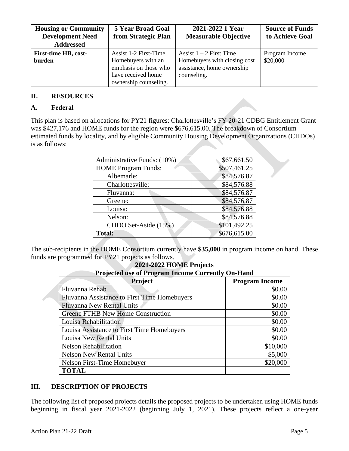| <b>Housing or Community</b><br><b>Development Need</b><br><b>Addressed</b> | <b>5 Year Broad Goal</b><br>from Strategic Plan                                                                     | 2021-2022 1 Year<br><b>Measurable Objective</b>                                                        | <b>Source of Funds</b><br>to Achieve Goal |
|----------------------------------------------------------------------------|---------------------------------------------------------------------------------------------------------------------|--------------------------------------------------------------------------------------------------------|-------------------------------------------|
| First-time HB, cost-<br>burden                                             | Assist 1-2 First-Time<br>Homebuyers with an<br>emphasis on those who<br>have received home<br>ownership counseling. | Assist $1 - 2$ First Time<br>Homebuyers with closing cost<br>assistance, home ownership<br>counseling. | Program Income<br>\$20,000                |

#### **II. RESOURCES**

#### **A. Federal**

This plan is based on allocations for PY21 figures: Charlottesville's FY 20-21 CDBG Entitlement Grant was \$427,176 and HOME funds for the region were \$676,615.00. The breakdown of Consortium estimated funds by locality, and by eligible Community Housing Development Organizations (CHDOs) is as follows:

| Administrative Funds: (10%) | \$67,661.50  |
|-----------------------------|--------------|
| <b>HOME Program Funds:</b>  | \$507,461.25 |
| Albemarle:                  | \$84,576.87  |
| Charlottesville:            | \$84,576.88  |
| Fluvanna:                   | \$84,576.87  |
| Greene:                     | \$84,576.87  |
| Louisa:                     | \$84,576.88  |
| Nelson:                     | \$84,576.88  |
| CHDO Set-Aside (15%)        | \$101,492.25 |
| <b>Total:</b>               | \$676,615.00 |

The sub-recipients in the HOME Consortium currently have **\$35,000** in program income on hand. These funds are programmed for PY21 projects as follows.

| 2021-2022 HOME Projects                                  |                       |  |  |
|----------------------------------------------------------|-----------------------|--|--|
| <b>Projected use of Program Income Currently On-Hand</b> |                       |  |  |
| <b>Project</b>                                           | <b>Program Income</b> |  |  |
| Fluvanna Rehab                                           | \$0.00                |  |  |
| Fluvanna Assistance to First Time Homebuyers             | \$0.00                |  |  |
| <b>Fluvanna New Rental Units</b>                         | \$0.00                |  |  |
| Greene FTHB New Home Construction                        | \$0.00                |  |  |
| Louisa Rehabilitation                                    | \$0.00                |  |  |
| Louisa Assistance to First Time Homebuyers               | \$0.00                |  |  |
| <b>Louisa New Rental Units</b>                           | \$0.00                |  |  |
| <b>Nelson Rehabilitation</b>                             | \$10,000              |  |  |
| <b>Nelson New Rental Units</b>                           | \$5,000               |  |  |
| Nelson First-Time Homebuyer                              | \$20,000              |  |  |
| <b>TOTAL</b>                                             |                       |  |  |

#### **III. DESCRIPTION OF PROJECTS**

The following list of proposed projects details the proposed projects to be undertaken using HOME funds beginning in fiscal year 2021-2022 (beginning July 1, 2021). These projects reflect a one-year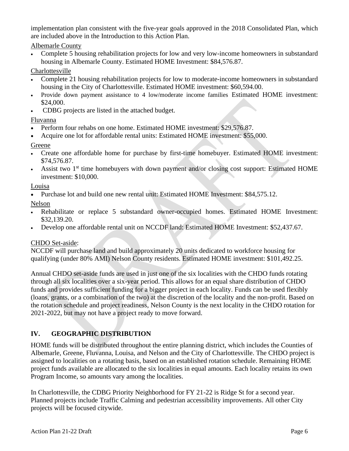implementation plan consistent with the five-year goals approved in the 2018 Consolidated Plan, which are included above in the Introduction to this Action Plan.

Albemarle County

• Complete 5 housing rehabilitation projects for low and very low-income homeowners in substandard housing in Albemarle County. Estimated HOME Investment: \$84,576.87.

Charlottesville

- Complete 21 housing rehabilitation projects for low to moderate-income homeowners in substandard housing in the City of Charlottesville. Estimated HOME investment: \$60,594.00.
- Provide down payment assistance to 4 low/moderate income families Estimated HOME investment: \$24,000.
- CDBG projects are listed in the attached budget.

Fluvanna

- Perform four rehabs on one home. Estimated HOME investment: \$29,576.87.
- Acquire one lot for affordable rental units: Estimated HOME investment: \$55,000.

Greene

- Create one affordable home for purchase by first-time homebuyer. Estimated HOME investment: \$74,576.87.
- Assist two  $1<sup>st</sup>$  time homebuyers with down payment and/or closing cost support: Estimated HOME investment: \$10,000.

Louisa

• Purchase lot and build one new rental unit: Estimated HOME Investment: \$84,575.12.

Nelson

- Rehabilitate or replace 5 substandard owner-occupied homes. Estimated HOME Investment: \$32,139.20.
- Develop one affordable rental unit on NCCDF land: Estimated HOME Investment: \$52,437.67.

# CHDO Set-aside:

NCCDF will purchase land and build approximately 20 units dedicated to workforce housing for qualifying (under 80% AMI) Nelson County residents. Estimated HOME investment: \$101,492.25.

Annual CHDO set-aside funds are used in just one of the six localities with the CHDO funds rotating through all six localities over a six-year period. This allows for an equal share distribution of CHDO funds and provides sufficient funding for a bigger project in each locality. Funds can be used flexibly (loans, grants, or a combination of the two) at the discretion of the locality and the non-profit. Based on the rotation schedule and project readiness, Nelson County is the next locality in the CHDO rotation for 2021-2022, but may not have a project ready to move forward.

# **IV. GEOGRAPHIC DISTRIBUTION**

HOME funds will be distributed throughout the entire planning district, which includes the Counties of Albemarle, Greene, Fluvanna, Louisa, and Nelson and the City of Charlottesville. The CHDO project is assigned to localities on a rotating basis, based on an established rotation schedule. Remaining HOME project funds available are allocated to the six localities in equal amounts. Each locality retains its own Program Income, so amounts vary among the localities.

In Charlottesville, the CDBG Priority Neighborhood for FY 21-22 is Ridge St for a second year. Planned projects include Traffic Calming and pedestrian accessibility improvements. All other City projects will be focused citywide.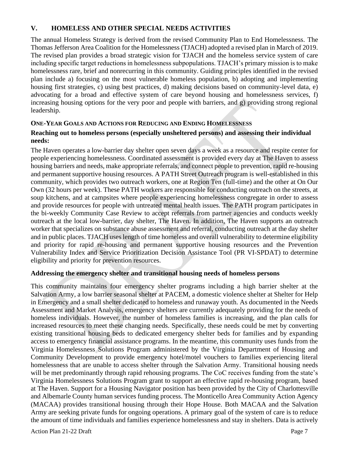#### **V. HOMELESS AND OTHER SPECIAL NEEDS ACTIVITIES**

The annual Homeless Strategy is derived from the revised Community Plan to End Homelessness. The Thomas Jefferson Area Coalition for the Homelessness (TJACH) adopted a revised plan in March of 2019. The revised plan provides a broad strategic vision for TJACH and the homeless service system of care including specific target reductions in homelessness subpopulations. TJACH's primary mission is to make homelessness rare, brief and nonrecurring in this community. Guiding principles identified in the revised plan include a) focusing on the most vulnerable homeless population, b) adopting and implementing housing first strategies, c) using best practices, d) making decisions based on community-level data, e) advocating for a broad and effective system of care beyond housing and homelessness services, f) increasing housing options for the very poor and people with barriers, and g) providing strong regional leadership.

#### **ONE-YEAR GOALS AND ACTIONS FOR REDUCING AND ENDING HOMELESSNESS**

#### **Reaching out to homeless persons (especially unsheltered persons) and assessing their individual needs:**

The Haven operates a low-barrier day shelter open seven days a week as a resource and respite center for people experiencing homelessness. Coordinated assessment is provided every day at The Haven to assess housing barriers and needs, make appropriate referrals, and connect people to prevention, rapid re-housing and permanent supportive housing resources. A PATH Street Outreach program is well-established in this community, which provides two outreach workers, one at Region Ten (full-time) and the other at On Our Own (32 hours per week). These PATH workers are responsible for conducting outreach on the streets, at soup kitchens, and at campsites where people experiencing homelessness congregate in order to assess and provide resources for people with untreated mental health issues. The PATH program participates in the bi-weekly Community Case Review to accept referrals from partner agencies and conducts weekly outreach at the local low-barrier, day shelter, The Haven. In addition, The Haven supports an outreach worker that specializes on substance abuse assessment and referral, conducting outreach at the day shelter and in public places. TJACH uses length of time homeless and overall vulnerability to determine eligibility and priority for rapid re-housing and permanent supportive housing resources and the Prevention Vulnerability Index and Service Prioritization Decision Assistance Tool (PR VI-SPDAT) to determine eligibility and priority for prevention resources.

#### **Addressing the emergency shelter and transitional housing needs of homeless persons**

This community maintains four emergency shelter programs including a high barrier shelter at the Salvation Army, a low barrier seasonal shelter at PACEM, a domestic violence shelter at Shelter for Help in Emergency and a small shelter dedicated to homeless and runaway youth. As documented in the Needs Assessment and Market Analysis, emergency shelters are currently adequately providing for the needs of homeless individuals. However, the number of homeless families is increasing, and the plan calls for increased resources to meet these changing needs. Specifically, these needs could be met by converting existing transitional housing beds to dedicated emergency shelter beds for families and by expanding access to emergency financial assistance programs. In the meantime, this community uses funds from the Virginia Homelessness Solutions Program administered by the Virginia Department of Housing and Community Development to provide emergency hotel/motel vouchers to families experiencing literal homelessness that are unable to access shelter through the Salvation Army. Transitional housing needs will be met predominantly through rapid rehousing programs. The CoC receives funding from the state's Virginia Homelessness Solutions Program grant to support an effective rapid re-housing program, based at The Haven. Support for a Housing Navigator position has been provided by the City of Charlottesville and Albemarle County human services funding process. The Monticello Area Community Action Agency (MACAA) provides transitional housing through their Hope House. Both MACAA and the Salvation Army are seeking private funds for ongoing operations. A primary goal of the system of care is to reduce the amount of time individuals and families experience homelessness and stay in shelters. Data is actively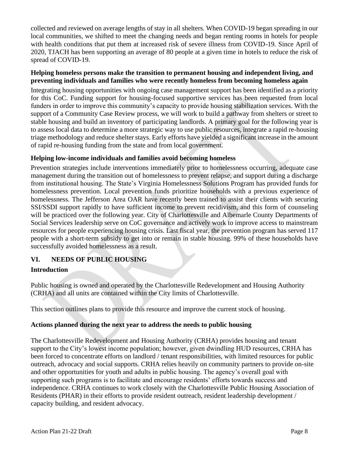collected and reviewed on average lengths of stay in all shelters. When COVID-19 began spreading in our local communities, we shifted to meet the changing needs and began renting rooms in hotels for people with health conditions that put them at increased risk of severe illness from COVID-19. Since April of 2020, TJACH has been supporting an average of 80 people at a given time in hotels to reduce the risk of spread of COVID-19.

#### **Helping homeless persons make the transition to permanent housing and independent living, and preventing individuals and families who were recently homeless from becoming homeless again**

Integrating housing opportunities with ongoing case management support has been identified as a priority for this CoC. Funding support for housing-focused supportive services has been requested from local funders in order to improve this community's capacity to provide housing stabilization services. With the support of a Community Case Review process, we will work to build a pathway from shelters or street to stable housing and build an inventory of participating landlords. A primary goal for the following year is to assess local data to determine a more strategic way to use public resources, integrate a rapid re-housing triage methodology and reduce shelter stays. Early efforts have yielded a significant increase in the amount of rapid re-housing funding from the state and from local government.

#### **Helping low-income individuals and families avoid becoming homeless**

Prevention strategies include interventions immediately prior to homelessness occurring, adequate case management during the transition out of homelessness to prevent relapse, and support during a discharge from institutional housing. The State's Virginia Homelessness Solutions Program has provided funds for homelessness prevention. Local prevention funds prioritize households with a previous experience of homelessness. The Jefferson Area OAR have recently been trained to assist their clients with securing SSI/SSDI support rapidly to have sufficient income to prevent recidivism, and this form of counseling will be practiced over the following year. City of Charlottesville and Albemarle County Departments of Social Services leadership serve on CoC governance and actively work to improve access to mainstream resources for people experiencing housing crisis. Last fiscal year, the prevention program has served 117 people with a short-term subsidy to get into or remain in stable housing. 99% of these households have successfully avoided homelessness as a result.

# **VI. NEEDS OF PUBLIC HOUSING**

# **Introduction**

Public housing is owned and operated by the Charlottesville Redevelopment and Housing Authority (CRHA) and all units are contained within the City limits of Charlottesville.

This section outlines plans to provide this resource and improve the current stock of housing.

#### **Actions planned during the next year to address the needs to public housing**

The Charlottesville Redevelopment and Housing Authority (CRHA) provides housing and tenant support to the City's lowest income population; however, given dwindling HUD resources, CRHA has been forced to concentrate efforts on landlord / tenant responsibilities, with limited resources for public outreach, advocacy and social supports. CRHA relies heavily on community partners to provide on-site and other opportunities for youth and adults in public housing. The agency's overall goal with supporting such programs is to facilitate and encourage residents' efforts towards success and independence. CRHA continues to work closely with the Charlottesville Public Housing Association of Residents (PHAR) in their efforts to provide resident outreach, resident leadership development / capacity building, and resident advocacy.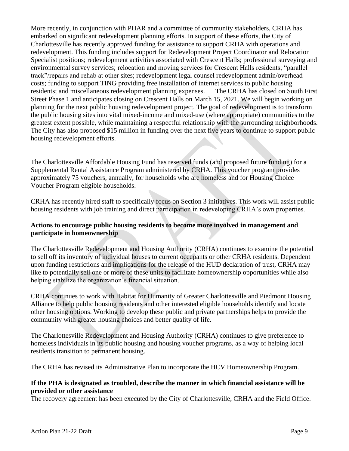More recently, in conjunction with PHAR and a committee of community stakeholders, CRHA has embarked on significant redevelopment planning efforts. In support of these efforts, the City of Charlottesville has recently approved funding for assistance to support CRHA with operations and redevelopment. This funding includes support for Redevelopment Project Coordinator and Relocation Specialist positions; redevelopment activities associated with Crescent Halls; professional surveying and environmental survey services; relocation and moving services for Crescent Halls residents; "parallel track"/repairs and rehab at other sites; redevelopment legal counsel redevelopment admin/overhead costs; funding to support TING providing free installation of internet services to public housing residents; and miscellaneous redevelopment planning expenses. The CRHA has closed on South First Street Phase 1 and anticipates closing on Crescent Halls on March 15, 2021. We will begin working on planning for the next public housing redevelopment project. The goal of redevelopment is to transform the public housing sites into vital mixed-income and mixed-use (where appropriate) communities to the greatest extent possible, while maintaining a respectful relationship with the surrounding neighborhoods. The City has also proposed \$15 million in funding over the next five years to continue to support public housing redevelopment efforts.

The Charlottesville Affordable Housing Fund has reserved funds (and proposed future funding) for a Supplemental Rental Assistance Program administered by CRHA. This voucher program provides approximately 75 vouchers, annually, for households who are homeless and for Housing Choice Voucher Program eligible households.

CRHA has recently hired staff to specifically focus on Section 3 initiatives. This work will assist public housing residents with job training and direct participation in redeveloping CRHA's own properties.

#### **Actions to encourage public housing residents to become more involved in management and participate in homeownership**

The Charlottesville Redevelopment and Housing Authority (CRHA) continues to examine the potential to sell off its inventory of individual houses to current occupants or other CRHA residents. Dependent upon funding restrictions and implications for the release of the HUD declaration of trust, CRHA may like to potentially sell one or more of these units to facilitate homeownership opportunities while also helping stabilize the organization's financial situation.

CRHA continues to work with Habitat for Humanity of Greater Charlottesville and Piedmont Housing Alliance to help public housing residents and other interested eligible households identify and locate other housing options. Working to develop these public and private partnerships helps to provide the community with greater housing choices and better quality of life.

The Charlottesville Redevelopment and Housing Authority (CRHA) continues to give preference to homeless individuals in its public housing and housing voucher programs, as a way of helping local residents transition to permanent housing.

The CRHA has revised its Administrative Plan to incorporate the HCV Homeownership Program.

#### **If the PHA is designated as troubled, describe the manner in which financial assistance will be provided or other assistance**

The recovery agreement has been executed by the City of Charlottesville, CRHA and the Field Office.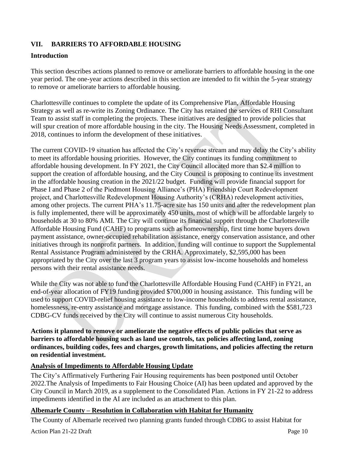# **VII. BARRIERS TO AFFORDABLE HOUSING**

#### **Introduction**

This section describes actions planned to remove or ameliorate barriers to affordable housing in the one year period. The one-year actions described in this section are intended to fit within the 5-year strategy to remove or ameliorate barriers to affordable housing.

Charlottesville continues to complete the update of its Comprehensive Plan, Affordable Housing Strategy as well as re-write its Zoning Ordinance. The City has retained the services of RHI Consultant Team to assist staff in completing the projects. These initiatives are designed to provide policies that will spur creation of more affordable housing in the city. The Housing Needs Assessment, completed in 2018, continues to inform the development of these initiatives.

The current COVID-19 situation has affected the City's revenue stream and may delay the City's ability to meet its affordable housing priorities. However, the City continues its funding commitment to affordable housing development. In FY 2021, the City Council allocated more than \$2.4 million to support the creation of affordable housing, and the City Council is proposing to continue its investment in the affordable housing creation in the 2021/22 budget. Funding will provide financial support for Phase I and Phase 2 of the Piedmont Housing Alliance's (PHA) Friendship Court Redevelopment project, and Charlottesville Redevelopment Housing Authority's (CRHA) redevelopment activities, among other projects. The current PHA's 11.75-acre site has 150 units and after the redevelopment plan is fully implemented, there will be approximately 450 units, most of which will be affordable largely to households at 30 to 80% AMI. The City will continue its financial support through the Charlottesville Affordable Housing Fund (CAHF) to programs such as homeownership, first time home buyers down payment assistance, owner-occupied rehabilitation assistance, energy conservation assistance, and other initiatives through its nonprofit partners. In addition, funding will continue to support the Supplemental Rental Assistance Program administered by the CRHA. Approximately, \$2,595,000 has been appropriated by the City over the last 3 program years to assist low-income households and homeless persons with their rental assistance needs.

While the City was not able to fund the Charlottesville Affordable Housing Fund (CAHF) in FY21, an end-of-year allocation of FY19 funding provided \$700,000 in housing assistance. This funding will be used to support COVID-relief housing assistance to low-income households to address rental assistance, homelessness, re-entry assistance and mortgage assistance. This funding, combined with the \$581,723 CDBG-CV funds received by the City will continue to assist numerous City households.

**Actions it planned to remove or ameliorate the negative effects of public policies that serve as barriers to affordable housing such as land use controls, tax policies affecting land, zoning ordinances, building codes, fees and charges, growth limitations, and policies affecting the return on residential investment.**

#### **Analysis of Impediments to Affordable Housing Update**

The City's Affirmatively Furthering Fair Housing requirements has been postponed until October 2022.The Analysis of Impediments to Fair Housing Choice (AI) has been updated and approved by the City Council in March 2019, as a supplement to the Consolidated Plan. Actions in FY 21-22 to address impediments identified in the AI are included as an attachment to this plan.

#### **Albemarle County – Resolution in Collaboration with Habitat for Humanity**

The County of Albemarle received two planning grants funded through CDBG to assist Habitat for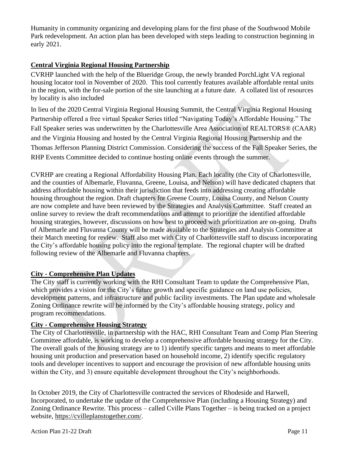Humanity in community organizing and developing plans for the first phase of the Southwood Mobile Park redevelopment. An action plan has been developed with steps leading to construction beginning in early 2021.

# **Central Virginia Regional Housing Partnership**

CVRHP launched with the help of the Blueridge Group, the newly branded PorchLight VA regional housing locator tool in November of 2020. This tool currently features available affordable rental units in the region, with the for-sale portion of the site launching at a future date. A collated list of resources by locality is also included

In lieu of the 2020 Central Virginia Regional Housing Summit, the Central Virginia Regional Housing Partnership offered a free virtual Speaker Series titled "Navigating Today's Affordable Housing." The Fall Speaker series was underwritten by the Charlottesville Area Association of REALTORS® (CAAR) and the Virginia Housing and hosted by the Central Virginia Regional Housing Partnership and the Thomas Jefferson Planning District Commission. Considering the success of the Fall Speaker Series, the RHP Events Committee decided to continue hosting online events through the summer.

CVRHP are creating a Regional Affordability Housing Plan. Each locality (the City of Charlottesville, and the counties of Albemarle, Fluvanna, Greene, Louisa, and Nelson) will have dedicated chapters that address affordable housing within their jurisdiction that feeds into addressing creating affordable housing throughout the region. Draft chapters for Greene County, Louisa County, and Nelson County are now complete and have been reviewed by the Strategies and Analysis Committee. Staff created an online survey to review the draft recommendations and attempt to prioritize the identified affordable housing strategies, however, discussions on how best to proceed with prioritization are on-going. Drafts of Albemarle and Fluvanna County will be made available to the Strategies and Analysis Committee at their March meeting for review. Staff also met with City of Charlottesville staff to discuss incorporating the City's affordable housing policy into the regional template. The regional chapter will be drafted following review of the Albemarle and Fluvanna chapters.

#### **City - Comprehensive Plan Updates**

The City staff is currently working with the RHI Consultant Team to update the Comprehensive Plan, which provides a vision for the City's future growth and specific guidance on land use policies, development patterns, and infrastructure and public facility investments. The Plan update and wholesale Zoning Ordinance rewrite will be informed by the City's affordable housing strategy, policy and program recommendations.

#### **City - Comprehensive Housing Strategy**

The City of Charlottesville, in partnership with the HAC, RHI Consultant Team and Comp Plan Steering Committee affordable, is working to develop a comprehensive affordable housing strategy for the City. The overall goals of the housing strategy are to 1) identify specific targets and means to meet affordable housing unit production and preservation based on household income, 2) identify specific regulatory tools and developer incentives to support and encourage the provision of new affordable housing units within the City, and 3) ensure equitable development throughout the City's neighborhoods.

In October 2019, the City of Charlottesville contracted the services of Rhodeside and Harwell, Incorporated, to undertake the update of the Comprehensive Plan (including a Housing Strategy) and Zoning Ordinance Rewrite. This process – called Cville Plans Together – is being tracked on a project website, [https://cvilleplanstogether.com/.](https://cvilleplanstogether.com/)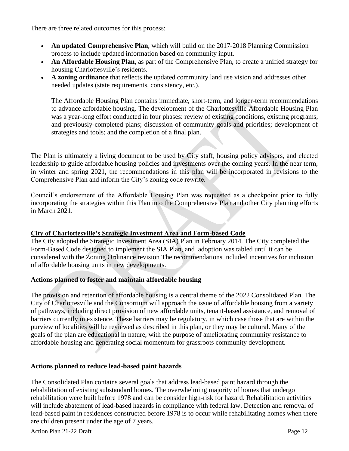There are three related outcomes for this process:

- **An updated Comprehensive Plan**, which will build on the 2017-2018 Planning Commission process to include updated information based on community input.
- **An Affordable Housing Plan**, as part of the Comprehensive Plan, to create a unified strategy for housing Charlottesville's residents.
- **A zoning ordinance** that reflects the updated community land use vision and addresses other needed updates (state requirements, consistency, etc.).

The Affordable Housing Plan contains immediate, short-term, and longer-term recommendations to advance affordable housing. The development of the Charlottesville Affordable Housing Plan was a year-long effort conducted in four phases: review of existing conditions, existing programs, and previously-completed plans; discussion of community goals and priorities; development of strategies and tools; and the completion of a final plan.

The Plan is ultimately a living document to be used by City staff, housing policy advisors, and elected leadership to guide affordable housing policies and investments over the coming years. In the near term, in winter and spring 2021, the recommendations in this plan will be incorporated in revisions to the Comprehensive Plan and inform the City's zoning code rewrite.

Council's endorsement of the Affordable Housing Plan was requested as a checkpoint prior to fully incorporating the strategies within this Plan into the Comprehensive Plan and other City planning efforts in March 2021.

#### **City of Charlottesville's Strategic Investment Area and Form-based Code**

The City adopted the Strategic Investment Area (SIA) Plan in February 2014. The City completed the Form-Based Code designed to implement the SIA Plan, and adoption was tabled until it can be considered with the Zoning Ordinance revision The recommendations included incentives for inclusion of affordable housing units in new developments.

# **Actions planned to foster and maintain affordable housing**

The provision and retention of affordable housing is a central theme of the 2022 Consolidated Plan. The City of Charlottesville and the Consortium will approach the issue of affordable housing from a variety of pathways, including direct provision of new affordable units, tenant-based assistance, and removal of barriers currently in existence. These barriers may be regulatory, in which case those that are within the purview of localities will be reviewed as described in this plan, or they may be cultural. Many of the goals of the plan are educational in nature, with the purpose of ameliorating community resistance to affordable housing and generating social momentum for grassroots community development.

#### **Actions planned to reduce lead-based paint hazards**

The Consolidated Plan contains several goals that address lead-based paint hazard through the rehabilitation of existing substandard homes. The overwhelming majority of homes that undergo rehabilitation were built before 1978 and can be consider high-risk for hazard. Rehabilitation activities will include abatement of lead-based hazards in compliance with federal law. Detection and removal of lead-based paint in residences constructed before 1978 is to occur while rehabilitating homes when there are children present under the age of 7 years.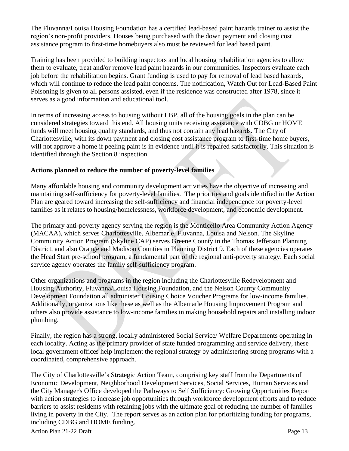The Fluvanna/Louisa Housing Foundation has a certified lead-based paint hazards trainer to assist the region's non-profit providers. Houses being purchased with the down payment and closing cost assistance program to first-time homebuyers also must be reviewed for lead based paint.

Training has been provided to building inspectors and local housing rehabilitation agencies to allow them to evaluate, treat and/or remove lead paint hazards in our communities. Inspectors evaluate each job before the rehabilitation begins. Grant funding is used to pay for removal of lead based hazards, which will continue to reduce the lead paint concerns. The notification, Watch Out for Lead-Based Paint Poisoning is given to all persons assisted, even if the residence was constructed after 1978, since it serves as a good information and educational tool.

In terms of increasing access to housing without LBP, all of the housing goals in the plan can be considered strategies toward this end. All housing units receiving assistance with CDBG or HOME funds will meet housing quality standards, and thus not contain any lead hazards. The City of Charlottesville, with its down payment and closing cost assistance program to first-time home buyers, will not approve a home if peeling paint is in evidence until it is repaired satisfactorily. This situation is identified through the Section 8 inspection.

#### **Actions planned to reduce the number of poverty-level families**

Many affordable housing and community development activities have the objective of increasing and maintaining self-sufficiency for poverty-level families. The priorities and goals identified in the Action Plan are geared toward increasing the self-sufficiency and financial independence for poverty-level families as it relates to housing/homelessness, workforce development, and economic development.

The primary anti-poverty agency serving the region is the Monticello Area Community Action Agency (MACAA), which serves Charlottesville, Albemarle, Fluvanna, Louisa and Nelson. The Skyline Community Action Program (Skyline CAP) serves Greene County in the Thomas Jefferson Planning District, and also Orange and Madison Counties in Planning District 9. Each of these agencies operates the Head Start pre-school program, a fundamental part of the regional anti-poverty strategy. Each social service agency operates the family self-sufficiency program.

Other organizations and programs in the region including the Charlottesville Redevelopment and Housing Authority, Fluvanna/Louisa Housing Foundation, and the Nelson County Community Development Foundation all administer Housing Choice Voucher Programs for low-income families. Additionally, organizations like these as well as the Albemarle Housing Improvement Program and others also provide assistance to low-income families in making household repairs and installing indoor plumbing.

Finally, the region has a strong, locally administered Social Service/ Welfare Departments operating in each locality. Acting as the primary provider of state funded programming and service delivery, these local government offices help implement the regional strategy by administering strong programs with a coordinated, comprehensive approach.

The City of Charlottesville's Strategic Action Team, comprising key staff from the Departments of Economic Development, Neighborhood Development Services, Social Services, Human Services and the City Manager's Office developed the Pathways to Self Sufficiency: Growing Opportunities Report with action strategies to increase job opportunities through workforce development efforts and to reduce barriers to assist residents with retaining jobs with the ultimate goal of reducing the number of families living in poverty in the City. The report serves as an action plan for prioritizing funding for programs, including CDBG and HOME funding.

Action Plan 21-22 Draft Page 13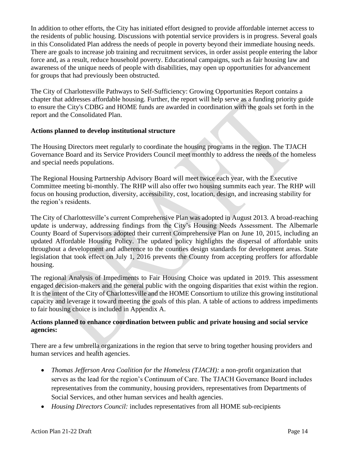In addition to other efforts, the City has initiated effort designed to provide affordable internet access to the residents of public housing. Discussions with potential service providers is in progress. Several goals in this Consolidated Plan address the needs of people in poverty beyond their immediate housing needs. There are goals to increase job training and recruitment services, in order assist people entering the labor force and, as a result, reduce household poverty. Educational campaigns, such as fair housing law and awareness of the unique needs of people with disabilities, may open up opportunities for advancement for groups that had previously been obstructed.

The City of Charlottesville Pathways to Self-Sufficiency: Growing Opportunities Report contains a chapter that addresses affordable housing. Further, the report will help serve as a funding priority guide to ensure the City's CDBG and HOME funds are awarded in coordination with the goals set forth in the report and the Consolidated Plan.

#### **Actions planned to develop institutional structure**

The Housing Directors meet regularly to coordinate the housing programs in the region. The TJACH Governance Board and its Service Providers Council meet monthly to address the needs of the homeless and special needs populations.

The Regional Housing Partnership Advisory Board will meet twice each year, with the Executive Committee meeting bi-monthly. The RHP will also offer two housing summits each year. The RHP will focus on housing production, diversity, accessibility, cost, location, design, and increasing stability for the region's residents.

The City of Charlottesville's current Comprehensive Plan was adopted in August 2013. A broad-reaching update is underway, addressing findings from the City's Housing Needs Assessment. The Albemarle County Board of Supervisors adopted their current Comprehensive Plan on June 10, 2015, including an updated Affordable Housing Policy. The updated policy highlights the dispersal of affordable units throughout a development and adherence to the counties design standards for development areas. State legislation that took effect on July 1, 2016 prevents the County from accepting proffers for affordable housing.

The regional Analysis of Impediments to Fair Housing Choice was updated in 2019. This assessment engaged decision-makers and the general public with the ongoing disparities that exist within the region. It is the intent of the City of Charlottesville and the HOME Consortium to utilize this growing institutional capacity and leverage it toward meeting the goals of this plan. A table of actions to address impediments to fair housing choice is included in Appendix A.

#### **Actions planned to enhance coordination between public and private housing and social service agencies:**

There are a few umbrella organizations in the region that serve to bring together housing providers and human services and health agencies.

- *Thomas Jefferson Area Coalition for the Homeless (TJACH)*: a non-profit organization that serves as the lead for the region's Continuum of Care. The TJACH Governance Board includes representatives from the community, housing providers, representatives from Departments of Social Services, and other human services and health agencies.
- *Housing Directors Council:* includes representatives from all HOME sub-recipients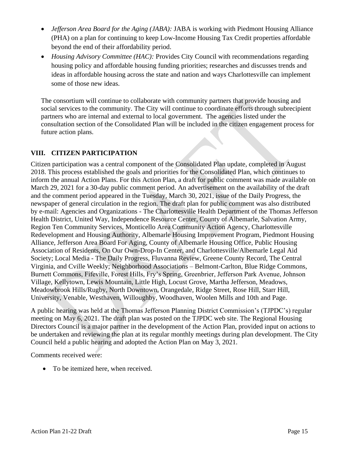- *Jefferson Area Board for the Aging (JABA):* JABA is working with Piedmont Housing Alliance (PHA) on a plan for continuing to keep Low-Income Housing Tax Credit properties affordable beyond the end of their affordability period.
- *Housing Advisory Committee (HAC):* Provides City Council with recommendations regarding housing policy and affordable housing funding priorities; researches and discusses trends and ideas in affordable housing across the state and nation and ways Charlottesville can implement some of those new ideas.

The consortium will continue to collaborate with community partners that provide housing and social services to the community. The City will continue to coordinate efforts through subrecipient partners who are internal and external to local government. The agencies listed under the consultation section of the Consolidated Plan will be included in the citizen engagement process for future action plans.

# **VIII. CITIZEN PARTICIPATION**

Citizen participation was a central component of the Consolidated Plan update, completed in August 2018. This process established the goals and priorities for the Consolidated Plan, which continues to inform the annual Action Plans. For this Action Plan, a draft for public comment was made available on March 29, 2021 for a 30-day public comment period. An advertisement on the availability of the draft and the comment period appeared in the Tuesday, March 30, 2021, issue of the Daily Progress, the newspaper of general circulation in the region. The draft plan for public comment was also distributed by e-mail: Agencies and Organizations - The Charlottesville Health Department of the Thomas Jefferson Health District, United Way, Independence Resource Center, County of Albemarle, Salvation Army, Region Ten Community Services, Monticello Area Community Action Agency, Charlottesville Redevelopment and Housing Authority, Albemarle Housing Improvement Program, Piedmont Housing Alliance, Jefferson Area Board For Aging, County of Albemarle Housing Office, Public Housing Association of Residents, On Our Own-Drop-In Center, and Charlottesville/Albemarle Legal Aid Society; Local Media - The Daily Progress, Fluvanna Review, Greene County Record, The Central Virginia, and Cville Weekly; Neighborhood Associations – Belmont-Carlton, Blue Ridge Commons, Burnett Commons, Fifeville, Forest Hills, Fry's Spring, Greenbrier, Jefferson Park Avenue, Johnson Village, Kellytown, Lewis Mountain, Little High, Locust Grove, Martha Jefferson, Meadows, Meadowbrook Hills/Rugby, North Downtown, Orangedale, Ridge Street, Rose Hill, Starr Hill, University, Venable, Westhaven, Willoughby, Woodhaven, Woolen Mills and 10th and Page.

A public hearing was held at the Thomas Jefferson Planning District Commission's (TJPDC's) regular meeting on May 6, 2021. The draft plan was posted on the TJPDC web site. The Regional Housing Directors Council is a major partner in the development of the Action Plan, provided input on actions to be undertaken and reviewing the plan at its regular monthly meetings during plan development. The City Council held a public hearing and adopted the Action Plan on May 3, 2021.

Comments received were:

• To be itemized here, when received.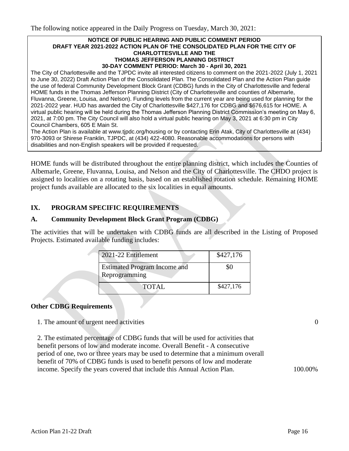#### **NOTICE OF PUBLIC HEARING AND PUBLIC COMMENT PERIOD DRAFT YEAR 2021-2022 ACTION PLAN OF THE CONSOLIDATED PLAN FOR THE CITY OF CHARLOTTESVILLE AND THE THOMAS JEFFERSON PLANNING DISTRICT 30-DAY COMMENT PERIOD: March 30 - April 30, 2021**

The City of Charlottesville and the TJPDC invite all interested citizens to comment on the 2021-2022 (July 1, 2021 to June 30, 2022) Draft Action Plan of the Consolidated Plan. The Consolidated Plan and the Action Plan guide the use of federal Community Development Block Grant (CDBG) funds in the City of Charlottesville and federal HOME funds in the Thomas Jefferson Planning District (City of Charlottesville and counties of Albemarle, Fluvanna, Greene, Louisa, and Nelson). Funding levels from the current year are being used for planning for the 2021-2022 year. HUD has awarded the City of Charlottesville \$427,176 for CDBG and \$676,615 for HOME. A virtual public hearing will be held during the Thomas Jefferson Planning District Commission's meeting on May 6, 2021, at 7:00 pm. The City Council will also hold a virtual public hearing on May 3, 2021 at 6:30 pm in City Council Chambers, 605 E Main St.

The Action Plan is available at www.tjpdc.org/housing or by contacting Erin Atak, City of Charlottesville at (434) 970-3093 or Shirese Franklin, TJPDC, at (434) 422-4080. Reasonable accommodations for persons with disabilities and non-English speakers will be provided if requested.

HOME funds will be distributed throughout the entire planning district, which includes the Counties of Albemarle, Greene, Fluvanna, Louisa, and Nelson and the City of Charlottesville. The CHDO project is assigned to localities on a rotating basis, based on an established rotation schedule. Remaining HOME project funds available are allocated to the six localities in equal amounts.

#### **IX. PROGRAM SPECIFIC REQUIREMENTS**

#### **A. Community Development Block Grant Program (CDBG)**

The activities that will be undertaken with CDBG funds are all described in the Listing of Proposed Projects. Estimated available funding includes:

| 2021-22 Entitlement                                  | \$427,176 |
|------------------------------------------------------|-----------|
| <b>Estimated Program Income and</b><br>Reprogramming | 80        |
| <b>TOTAL</b>                                         | \$427,176 |

#### **Other CDBG Requirements**

1. The amount of urgent need activities 0

2. The estimated percentage of CDBG funds that will be used for activities that benefit persons of low and moderate income. Overall Benefit - A consecutive period of one, two or three years may be used to determine that a minimum overall benefit of 70% of CDBG funds is used to benefit persons of low and moderate income. Specify the years covered that include this Annual Action Plan. 100.00%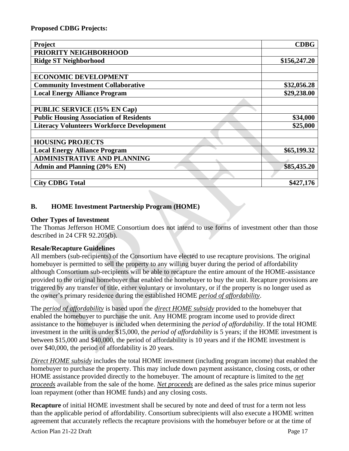| Project                                          | <b>CDBG</b>  |
|--------------------------------------------------|--------------|
| PRIORITY NEIGHBORHOOD                            |              |
| <b>Ridge ST Neighborhood</b>                     | \$156,247.20 |
|                                                  |              |
| <b>ECONOMIC DEVELOPMENT</b>                      |              |
| <b>Community Investment Collaborative</b>        | \$32,056.28  |
| <b>Local Energy Alliance Program</b>             | \$29,238.00  |
|                                                  |              |
| <b>PUBLIC SERVICE (15% EN Cap)</b>               |              |
| <b>Public Housing Association of Residents</b>   | \$34,000     |
| <b>Literacy Volunteers Workforce Development</b> | \$25,000     |
|                                                  |              |
| <b>HOUSING PROJECTS</b>                          |              |
| <b>Local Energy Alliance Program</b>             | \$65,199.32  |
| <b>ADMINISTRATIVE AND PLANNING</b>               |              |
| <b>Admin and Planning (20% EN)</b>               | \$85,435.20  |
|                                                  |              |
| <b>City CDBG Total</b>                           | \$427,176    |

# **B. HOME Investment Partnership Program (HOME)**

# **Other Types of Investment**

The Thomas Jefferson HOME Consortium does not intend to use forms of investment other than those described in 24 CFR 92.205(b).

#### **Resale/Recapture Guidelines**

All members (sub-recipients) of the Consortium have elected to use recapture provisions. The original homebuyer is permitted to sell the property to any willing buyer during the period of affordability although Consortium sub-recipients will be able to recapture the entire amount of the HOME-assistance provided to the original homebuyer that enabled the homebuyer to buy the unit. Recapture provisions are triggered by any transfer of title, either voluntary or involuntary, or if the property is no longer used as the owner's primary residence during the established HOME *period of affordability*.

The *period of affordability* is based upon the *direct HOME subsidy* provided to the homebuyer that enabled the homebuyer to purchase the unit. Any HOME program income used to provide direct assistance to the homebuyer is included when determining the *period of affordability*. If the total HOME investment in the unit is under \$15,000, the *period of affordability* is 5 years; if the HOME investment is between \$15,000 and \$40,000, the period of affordability is 10 years and if the HOME investment is over \$40,000, the period of affordability is 20 years.

*Direct HOME subsidy* includes the total HOME investment (including program income) that enabled the homebuyer to purchase the property. This may include down payment assistance, closing costs, or other HOME assistance provided directly to the homebuyer. The amount of recapture is limited to the *net proceeds* available from the sale of the home. *Net proceeds* are defined as the sales price minus superior loan repayment (other than HOME funds) and any closing costs.

**Recapture** of initial HOME investment shall be secured by note and deed of trust for a term not less than the applicable period of affordability. Consortium subrecipients will also execute a HOME written agreement that accurately reflects the recapture provisions with the homebuyer before or at the time of